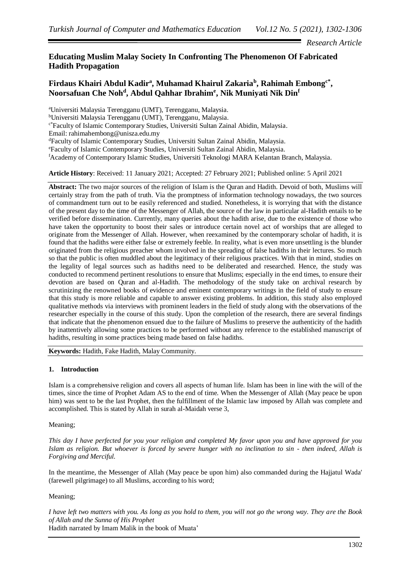*Research Article*

## **Educating Muslim Malay Society In Confronting The Phenomenon Of Fabricated Hadith Propagation**

# $\mathbf{Firdaus}$  Khairi Abdul Kadir<sup>a</sup>, Muhamad Khairul Zakaria $^{\mathrm{b}}$ , Rahimah Embong<sup>c\*</sup>, **Noorsafuan Che Noh<sup>d</sup> , Abdul Qahhar Ibrahim<sup>e</sup> , Nik Muniyati Nik Din<sup>f</sup>**

<sup>a</sup>Universiti Malaysia Terengganu (UMT), Terengganu, Malaysia. <sup>b</sup>Universiti Malaysia Terengganu (UMT), Terengganu, Malaysia. c\*Faculty of Islamic Contemporary Studies, Universiti Sultan Zainal Abidin, Malaysia. Email[: rahimahembong@unisza.edu.my](mailto:rahimahembong@unisza.edu.my) <sup>d</sup>Faculty of Islamic Contemporary Studies, Universiti Sultan Zainal Abidin, Malaysia. <sup>e</sup>Faculty of Islamic Contemporary Studies, Universiti Sultan Zainal Abidin, Malaysia. <sup>f</sup>Academy of Contemporary Islamic Studies, Universiti Teknologi MARA Kelantan Branch, Malaysia.

**Article History**: Received: 11 January 2021; Accepted: 27 February 2021; Published online: 5 April 2021

**Abstract:** The two major sources of the religion of Islam is the Quran and Hadith. Devoid of both, Muslims will certainly stray from the path of truth. Via the promptness of information technology nowadays, the two sources of commandment turn out to be easily referenced and studied. Nonetheless, it is worrying that with the distance of the present day to the time of the Messenger of Allah, the source of the law in particular al-Hadith entails to be verified before dissemination. Currently, many queries about the hadith arise, due to the existence of those who have taken the opportunity to boost their sales or introduce certain novel act of worships that are alleged to originate from the Messenger of Allah. However, when reexamined by the contemporary scholar of hadith, it is found that the hadiths were either false or extremely feeble. In reality, what is even more unsettling is the blunder originated from the religious preacher whom involved in the spreading of false hadiths in their lectures. So much so that the public is often muddled about the legitimacy of their religious practices. With that in mind, studies on the legality of legal sources such as hadiths need to be deliberated and researched. Hence, the study was conducted to recommend pertinent resolutions to ensure that Muslims; especially in the end times, to ensure their devotion are based on Quran and al-Hadith. The methodology of the study take on archival research by scrutinizing the renowned books of evidence and eminent contemporary writings in the field of study to ensure that this study is more reliable and capable to answer existing problems. In addition, this study also employed qualitative methods via interviews with prominent leaders in the field of study along with the observations of the researcher especially in the course of this study. Upon the completion of the research, there are several findings that indicate that the phenomenon ensued due to the failure of Muslims to preserve the authenticity of the hadith by inattentively allowing some practices to be performed without any reference to the established manuscript of hadiths, resulting in some practices being made based on false hadiths.

**Keywords:** Hadith, Fake Hadith, Malay Community.

#### **1. Introduction**

Islam is a comprehensive religion and covers all aspects of human life. Islam has been in line with the will of the times, since the time of Prophet Adam AS to the end of time. When the Messenger of Allah (May peace be upon him) was sent to be the last Prophet, then the fulfillment of the Islamic law imposed by Allah was complete and accomplished. This is stated by Allah in surah al-Maidah verse 3,

Meaning;

*This day I have perfected for you your religion and completed My favor upon you and have approved for you Islam as religion. But whoever is forced by severe hunger with no inclination to sin - then indeed, Allah is Forgiving and Merciful.*

In the meantime, the Messenger of Allah (May peace be upon him) also commanded during the Hajjatul Wada' (farewell pilgrimage) to all Muslims, according to his word;

Meaning;

*I have left two matters with you. As long as you hold to them, you will not go the wrong way. They are the Book of Allah and the Sunna of His Prophet* Hadith narrated by Imam Malik in the book of Muata'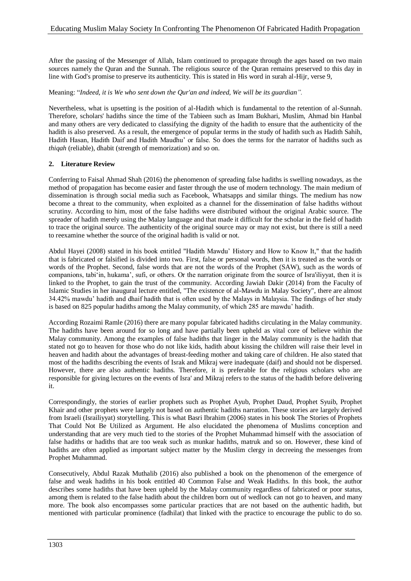After the passing of the Messenger of Allah, Islam continued to propagate through the ages based on two main sources namely the Quran and the Sunnah. The religious source of the Quran remains preserved to this day in line with God's promise to preserve its authenticity. This is stated in His word in surah al-Hijr, verse 9,

#### Meaning: "*Indeed, it is We who sent down the Qur'an and indeed, We will be its guardian".*

Nevertheless, what is upsetting is the position of al-Hadith which is fundamental to the retention of al-Sunnah. Therefore, scholars' hadiths since the time of the Tabieen such as Imam Bukhari, Muslim, Ahmad bin Hanbal and many others are very dedicated to classifying the dignity of the hadith to ensure that the authenticity of the hadith is also preserved. As a result, the emergence of popular terms in the study of hadith such as Hadith Sahih, Hadith Hasan, Hadith Daif and Hadith Maudhu' or false. So does the terms for the narrator of hadiths such as *thiqah* (reliable), dhabit (strength of memorization) and so on.

#### **2. Literature Review**

Conferring to Faisal Ahmad Shah (2016) the phenomenon of spreading false hadiths is swelling nowadays, as the method of propagation has become easier and faster through the use of modern technology. The main medium of dissemination is through social media such as Facebook, Whatsapps and similar things. The medium has now become a threat to the community, when exploited as a channel for the dissemination of false hadiths without scrutiny. According to him, most of the false hadiths were distributed without the original Arabic source. The spreader of hadith merely using the Malay language and that made it difficult for the scholar in the field of hadith to trace the original source. The authenticity of the original source may or may not exist, but there is still a need to reexamine whether the source of the original hadith is valid or not.

Abdul Hayei (2008) stated in his book entitled "Hadith Mawdu' History and How to Know It," that the hadith that is fabricated or falsified is divided into two. First, false or personal words, then it is treated as the words or words of the Prophet. Second, false words that are not the words of the Prophet (SAW), such as the words of companions, tabi'in, hukama', sufi, or others. Or the narration originate from the source of Isra'iliyyat, then it is linked to the Prophet, to gain the trust of the community. According Jawiah Dakir (2014) from the Faculty of Islamic Studies in her inaugural lecture entitled, "The existence of al-Mawdu in Malay Society", there are almost 34.42% mawdu' hadith and dhaif hadith that is often used by the Malays in Malaysia. The findings of her study is based on 825 popular hadiths among the Malay community, of which 285 are mawdu' hadith.

According Rozaimi Ramle (2016) there are many popular fabricated hadiths circulating in the Malay community. The hadiths have been around for so long and have partially been upheld as vital core of believe within the Malay community. Among the examples of false hadiths that linger in the Malay community is the hadith that stated not go to heaven for those who do not like kids, hadith about kissing the children will raise their level in heaven and hadith about the advantages of breast-feeding mother and taking care of children. He also stated that most of the hadiths describing the events of Israk and Mikraj were inadequate (daif) and should not be dispersed. However, there are also authentic hadiths. Therefore, it is preferable for the religious scholars who are responsible for giving lectures on the events of Isra' and Mikraj refers to the status of the hadith before delivering it.

Correspondingly, the stories of earlier prophets such as Prophet Ayub, Prophet Daud, Prophet Syuib, Prophet Khair and other prophets were largely not based on authentic hadiths narration. These stories are largely derived from Israeli (Israiliyyat) storytelling. This is what Basri Ibrahim (2006) states in his book The Stories of Prophets That Could Not Be Utilized as Argument. He also elucidated the phenomena of Muslims conception and understanding that are very much tied to the stories of the Prophet Muhammad himself with the association of false hadiths or hadiths that are too weak such as munkar hadiths, matruk and so on. However, these kind of hadiths are often applied as important subject matter by the Muslim clergy in decreeing the messenges from Prophet Muhammad.

Consecutively, Abdul Razak Muthalib (2016) also published a book on the phenomenon of the emergence of false and weak hadiths in his book entitled 40 Common False and Weak Hadiths. In this book, the author describes some hadiths that have been upheld by the Malay community regardless of fabricated or poor status, among them is related to the false hadith about the children born out of wedlock can not go to heaven, and many more. The book also encompasses some particular practices that are not based on the authentic hadith, but mentioned with particular prominence (fadhilat) that linked with the practice to encourage the public to do so.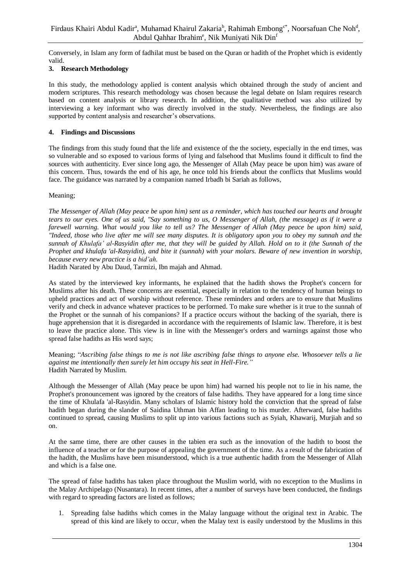Conversely, in Islam any form of fadhilat must be based on the Quran or hadith of the Prophet which is evidently valid.

## **3. Research Methodology**

In this study, the methodology applied is content analysis which obtained through the study of ancient and modern scriptures. This research methodology was chosen because the legal debate on Islam requires research based on content analysis or library research. In addition, the qualitative method was also utilized by interviewing a key informant who was directly involved in the study. Nevertheless, the findings are also supported by content analysis and researcher's observations.

## **4. Findings and Discussions**

The findings from this study found that the life and existence of the the society, especially in the end times, was so vulnerable and so exposed to various forms of lying and falsehood that Muslims found it difficult to find the sources with authenticity. Ever since long ago, the Messenger of Allah (May peace be upon him) was aware of this concern. Thus, towards the end of his age, he once told his friends about the conflicts that Muslims would face. The guidance was narrated by a companion named Irbadh bi Sariah as follows,

## Meaning;

*The Messenger of Allah (May peace be upon him) sent us a reminder, which has touched our hearts and brought tears to our eyes. One of us said, "Say something to us, O Messenger of Allah, (the message) as if it were a farewell warning. What would you like to tell us? The Messenger of Allah (May peace be upon him) said, "Indeed, those who live after me will see many disputes. It is obligatory upon you to obey my sunnah and the sunnah of Khulafa' al-Rasyidin after me, that they will be guided by Allah. Hold on to it (the Sunnah of the Prophet and khulafa 'al-Rasyidin), and bite it (sunnah) with your molars. Beware of new invention in worship, because every new practice is a bid'ah.*

Hadith Narated by Abu Daud, Tarmizi, Ibn majah and Ahmad.

As stated by the interviewed key informants, he explained that the hadith shows the Prophet's concern for Muslims after his death. These concerns are essential, especially in relation to the tendency of human beings to upheld practices and act of worship without reference. These reminders and orders are to ensure that Muslims verify and check in advance whatever practices to be performed. To make sure whether is it true to the sunnah of the Prophet or the sunnah of his companions? If a practice occurs without the backing of the syariah, there is huge apprehension that it is disregarded in accordance with the requirements of Islamic law. Therefore, it is best to leave the practice alone. This view is in line with the Messenger's orders and warnings against those who spread false hadiths as His word says;

Meaning; "*Ascribing false things to me is not like ascribing false things to anyone else. Whosoever tells a lie against me intentionally then surely let him occupy his seat in Hell-Fire."* Hadith Narrated by Muslim.

Although the Messenger of Allah (May peace be upon him) had warned his people not to lie in his name, the Prophet's pronouncement was ignored by the creators of false hadiths. They have appeared for a long time since the time of Khulafa 'al-Rasyidin. Many scholars of Islamic history hold the conviction that the spread of false hadith began during the slander of Saidina Uthman bin Affan leading to his murder. Afterward, false hadiths continued to spread, causing Muslims to split up into various factions such as Syiah, Khawarij, Murjiah and so on.

At the same time, there are other causes in the tabien era such as the innovation of the hadith to boost the influence of a teacher or for the purpose of appealing the government of the time. As a result of the fabrication of the hadith, the Muslims have been misunderstood, which is a true authentic hadith from the Messenger of Allah and which is a false one.

The spread of false hadiths has taken place throughout the Muslim world, with no exception to the Muslims in the Malay Archipelago (Nusantara). In recent times, after a number of surveys have been conducted, the findings with regard to spreading factors are listed as follows;

1. Spreading false hadiths which comes in the Malay language without the original text in Arabic. The spread of this kind are likely to occur, when the Malay text is easily understood by the Muslims in this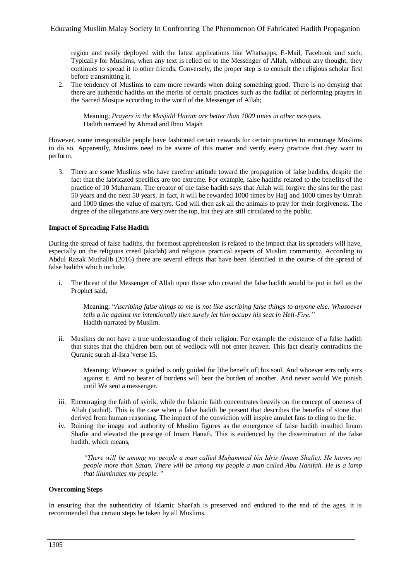region and easily deployed with the latest applications like Whatsapps, E-Mail, Facebook and such. Typically for Muslims, when any text is relied on to the Messenger of Allah, without any thought, they continues to spread it to other friends. Conversely, the proper step is to consult the religious scholar first before transmitting it.

2. The tendency of Muslims to earn more rewards when doing something good. There is no denying that there are authentic hadiths on the merits of certain practices such as the fadilat of performing prayers in the Sacred Mosque according to the word of the Messenger of Allah;

Meaning; *Prayers in the Masjidil Haram are better than 1000 times in other mosques.* Hadith narrated by Ahmad and Ibnu Majah

However, some irresponsible people have fashioned certain rewards for certain practices to encourage Muslims to do so. Apparently, Muslims need to be aware of this matter and verify every practice that they want to perform.

3. There are some Muslims who have carefree attitude toward the propagation of false hadiths, despite the fact that the fabricated specifics are too extreme. For example, false hadiths related to the benefits of the practice of 10 Muharram. The creator of the false hadith says that Allah will forgive the sins for the past 50 years and the next 50 years. In fact, it will be rewarded 1000 times by Hajj and 1000 times by Umrah and 1000 times the value of martyrs. God will then ask all the animals to pray for their forgiveness. The degree of the allegations are very over the top, but they are still circulated to the public.

## **Impact of Spreading False Hadith**

During the spread of false hadiths, the foremost apprehension is related to the impact that its spreaders will have, especially on the religious creed (akidah) and religious practical aspects of Muslim community. According to Abdul Razak Muthalib (2016) there are several effects that have been identified in the course of the spread of false hadiths which include,

i. The threat of the Messenger of Allah upon those who created the false hadith would be put in hell as the Prophet said,

Meaning; "*Ascribing false things to me is not like ascribing false things to anyone else. Whosoever tells a lie against me intentionally then surely let him occupy his seat in Hell-Fire."* Hadith narrated by Muslim.

ii. Muslims do not have a true understanding of their religion. For example the existence of a false hadith that states that the children born out of wedlock will not enter heaven. This fact clearly contradicts the Quranic surah al-Isra 'verse 15,

Meaning: Whoever is guided is only guided for [the benefit of] his soul. And whoever errs only errs against it. And no bearer of burdens will bear the burden of another. And never would We punish until We sent a messenger.

- iii. Encouraging the faith of syirik, while the Islamic faith concentrates heavily on the concept of oneness of Allah (tauhid). This is the case when a false hadith be present that describes the benefits of stone that derived from human reasoning. The impact of the conviction will inspire amulet fans to cling to the lie.
- iv. Ruining the image and authority of Muslim figures as the emergence of false hadith insulted Imam Shafie and elevated the prestige of Imam Hanafi. This is evidenced by the dissemination of the false hadith, which means,

*"There will be among my people a man called Muhammad bin Idris (Imam Shafie). He harms my people more than Satan. There will be among my people a man called Abu Hanifah. He is a lamp that illuminates my people. "*

#### **Overcoming Steps**

In ensuring that the authenticity of Islamic Shari'ah is preserved and endured to the end of the ages, it is recommended that certain steps be taken by all Muslims.